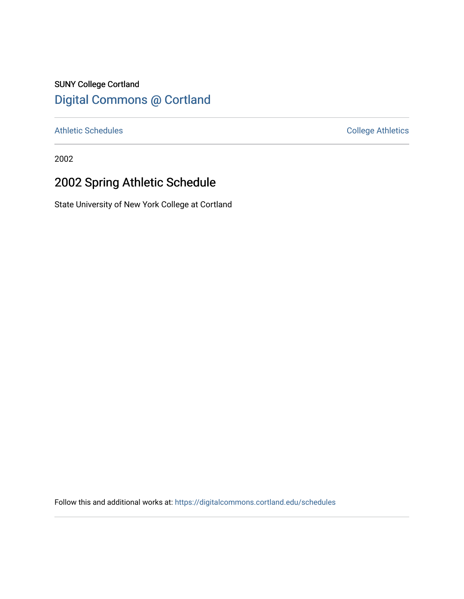## SUNY College Cortland [Digital Commons @ Cortland](https://digitalcommons.cortland.edu/)

[Athletic Schedules](https://digitalcommons.cortland.edu/schedules) **College Athletics** College Athletics

2002

# 2002 Spring Athletic Schedule

State University of New York College at Cortland

Follow this and additional works at: [https://digitalcommons.cortland.edu/schedules](https://digitalcommons.cortland.edu/schedules?utm_source=digitalcommons.cortland.edu%2Fschedules%2F79&utm_medium=PDF&utm_campaign=PDFCoverPages)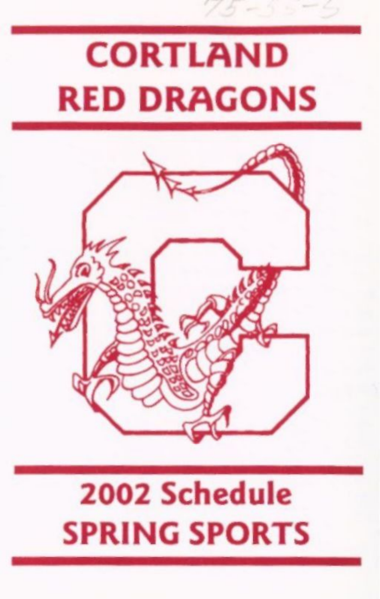# CORTLAND RED DRAGONS



## 2002 Schedule SPRING SPORTS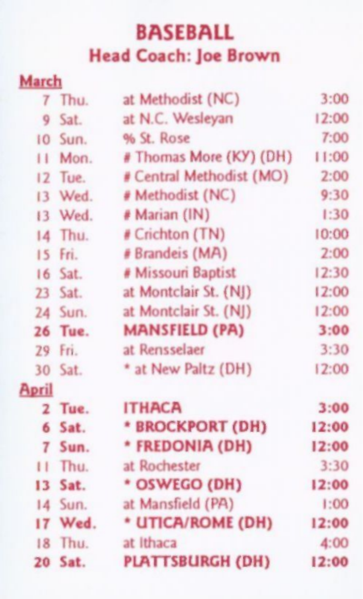#### BASEBALL Head Coach: Joe Brown

March

| <b>Matell</b> |                          |       |
|---------------|--------------------------|-------|
| 7 Thu.        | at Methodist (NC)        | 3:00  |
| 9 Sat.        | at N.C. Wesleyan         | 12:00 |
| 10 Sun.       | % St. Rose               | 7:00  |
| Mon.          | # Thomas More (KY) (DH)  | 11:00 |
| 12 Tue.       | # Central Methodist (MO) | 2:00  |
| 13 Wed.       | # Methodist (NC)         | 9:30  |
| 13 Wed.       | # Marian (IN)            | 1:30  |
| 14 Thu.       | # Crichton (TN)          | 10:00 |
| 15 Fri.       | # Brandeis (MA)          | 2:00  |
| $16$ Sat.     | # Missouri Baptist       | 12:30 |
| $23$ Sat.     | at Montclair St. (NJ)    | 12:00 |
| 24 Sun.       | at Montclair St. (NJ)    | 12:00 |
| 26 Tue.       | <b>MANSFIELD (PA)</b>    | 3:00  |
| 29 Fri.       | at Rensselaer            | 3:30  |
| 30 Sat.       | * at New Paltz (DH)      | 12:00 |
| <b>April</b>  |                          |       |
| 2 Tue.        | <b>ITHACA</b>            | 3:00  |
| 6 Sat.        | * BROCKPORT (DH)         | 12:00 |
| 7 Sun.        | * FREDONIA (DH)          | 12:00 |
| II Thu.       | at Rochester             | 3:30  |
| 13 Sat.       | * OSWEGO (DH)            | 12:00 |
| 14 Sun.       | at Mansfield (PA)        | 1:00  |
| 17 Wed.       | * UTICA/ROME (DH)        | 12:00 |
| 18 Thu.       | at Ithaca                | 4:00  |
| 20 Sat.       | <b>PLATTSBURGH (DH)</b>  | 12:00 |
|               |                          |       |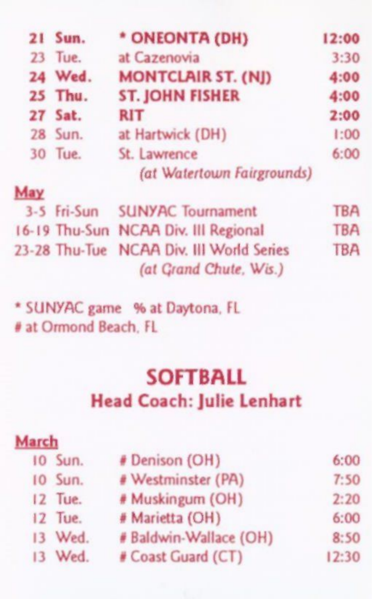|     | 21 Sun.       | * ONEONTA (DH)                             | 12:00      |
|-----|---------------|--------------------------------------------|------------|
| 23  | Tue.          | at Cazenovia                               | 3:30       |
|     | 24 Wed.       | <b>MONTCLAIR ST. (NJ)</b>                  | 4:00       |
|     | 25 Thu.       | <b>ST. JOHN FISHER</b>                     | 4:00       |
|     | 27 Sat.       | <b>RIT</b>                                 | 2:00       |
|     | 28 Sun.       | at Hartwick (DH)                           | 1:00       |
|     | 30 Tue.       | St. Lawrence<br>(at Watertown Fairgrounds) | 6:00       |
| May |               |                                            |            |
|     | 3-5 Fri-Sun   | <b>SUNYAC Tournament</b>                   | <b>TBA</b> |
|     |               | 16-19 Thu-Sun NCAA Div. III Regional       | TBA        |
|     | 23-28 Thu-Tue | <b>NCAA Div. III World Series</b>          | <b>TBA</b> |

*(at Qrand Chute, Wis.)* 

\* SUNYAC game % at Daytona, FL # at Ormond Beach, FL

#### SOFTBALL Head Coach: Julie Lenhart

| 6:00  |
|-------|
|       |
| 7:50  |
| 2:20  |
| 6:00  |
| 8:50  |
| 12:30 |
|       |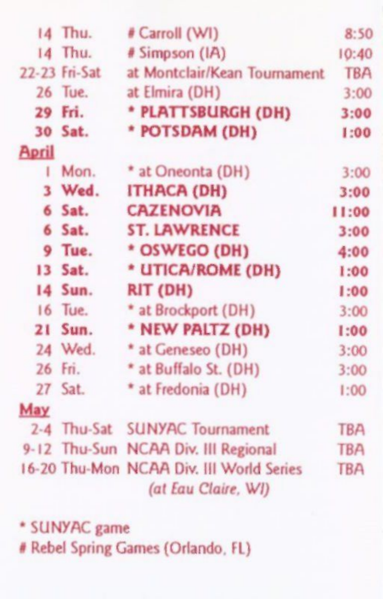|              | 14 Thu.       | # Carroll (WI)                                                  | 8:50       |
|--------------|---------------|-----------------------------------------------------------------|------------|
|              | 14 Thu.       | # Simpson (IA)                                                  | 10:40      |
|              | 22-23 Fri-Sat | at Montclair/Kean Tournament                                    | <b>TBA</b> |
|              | 26 Tue.       | at Elmira (DH)                                                  | 3:00       |
|              | 29 Fri.       | * PLATTSBURGH (DH)                                              | 3:00       |
|              | 30 Sat.       | * POTSDAM (DH)                                                  | 1:00       |
| <b>April</b> |               |                                                                 |            |
|              | I Mon.        | * at Oneonta (DH)                                               | 3:00       |
|              | 3 Wed.        | ITHACA (DH)                                                     | 3:00       |
|              | 6 Sat.        | <b>CAZENOVIA</b>                                                | 11:00      |
|              | 6 Sat.        | <b>ST. LAWRENCE</b>                                             | 3:00       |
|              | 9 Tue.        | * OSWEGO (DH)                                                   | 4:00       |
|              | 13 Sat.       | * UTICA/ROME (DH)                                               | 1:00       |
|              | 14 Sun.       | RIT (DH)                                                        | 1:00       |
|              | 16 Tue.       | * at Brockport (DH)                                             | 3:00       |
|              | 21 Sun.       | * NEW PALTZ (DH)                                                | 1:00       |
|              | 24 Wed.       | * at Geneseo (DH)                                               | 3:00       |
|              | 26 Fri.       | * at Buffalo St. (DH)                                           | 3:00       |
|              | 27 Sat.       | * at Fredonia (DH)                                              | 1:00       |
| May          |               |                                                                 |            |
|              |               | 2-4 Thu-Sat SUNYAC Tournament                                   | <b>TBA</b> |
|              |               | 9-12 Thu-Sun NCAA Div. III Regional                             | <b>TBA</b> |
|              |               | 16-20 Thu-Mon NCAA Div. III World Series<br>(at Eau Claire, WI) | <b>TBA</b> |

\* SUNYAC game

# Rebel Spring Games (Orlando, FL)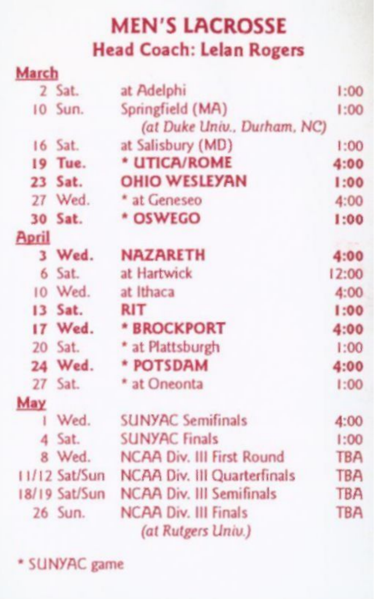#### MEN'S LACROSSE Head Coach: Lelan Rogers

| March        |                 |                                 |            |
|--------------|-----------------|---------------------------------|------------|
|              | 2 Sat.          | at Adelphi                      | 1:00       |
|              | 10 Sun.         | Springfield (MA)                | 1:00       |
|              |                 | (at Duke Univ., Durham, NC)     |            |
|              | 16 Sat.         | at Salisbury (MD)               | 1:00       |
|              | 19 Tue.         | * UTICA/ROME                    | 4:00       |
|              | 23 Sat.         | <b>OHIO WESLEYAN</b>            | 1:00       |
|              | 27 Wed.         | * at Geneseo                    | 4:00       |
|              | 30 Sat.         | * OSWEGO                        | 1:00       |
| <b>April</b> |                 |                                 |            |
|              | 3 Wed.          | <b>NAZARETH</b>                 | 4:00       |
| 6            | Sat.            | at Hartwick                     | 12:00      |
|              | 10 Wed.         | at Ithaca                       | 4:00       |
|              | 13 Sat.         | <b>RIT</b>                      | 1:00       |
|              | 17 Wed.         | * BROCKPORT                     | 4:00       |
|              | 20 Sat.         | * at Plattsburgh                | 1:00       |
|              | 24 Wed.         | * POTSDAM                       | 4:00       |
|              | 27 Sat.         | * at Oneonta                    | 1:00       |
| May          |                 |                                 |            |
| ī            | Wed.            | <b>SUNYAC Semifinals</b>        | 4:00       |
| 4            | Sat.            | <b>SUNYAC Finals</b>            | 1:00       |
|              | 8 Wed.          | NCAA Div. III First Round       | <b>TBA</b> |
|              | $11/12$ Sat/Sun | NCAA Div. III Quarterfinals     | <b>TBA</b> |
|              | 18/19 Sat/Sun   | <b>NCAA Div. III Semifinals</b> | <b>TBA</b> |
|              | 26 Sun.         | <b>NCAA Div. III Finals</b>     | <b>TBA</b> |
|              |                 | (at Rutgers Univ.)              |            |

\* SUNYAC game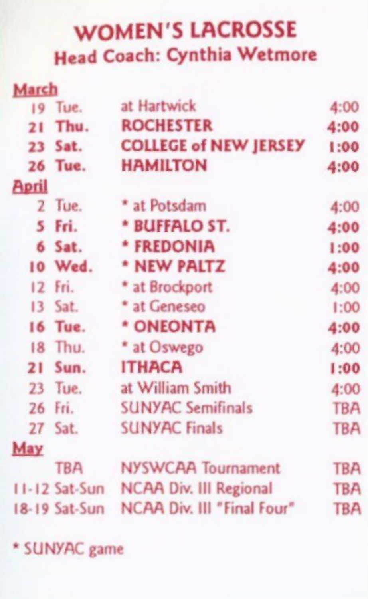### WOMEN'S LACROSSE Head Coach: Cynthia Wetmore

| March        |               |                               |            |
|--------------|---------------|-------------------------------|------------|
|              | 19 Tue.       | at Hartwick                   | 4:00       |
|              | 21 Thu.       | <b>ROCHESTER</b>              | 4:00       |
|              | 23 Sat.       | <b>COLLEGE of NEW JERSEY</b>  | 1:00       |
|              | 26 Tue.       | <b>HAMILTON</b>               | 4:00       |
| <b>April</b> |               |                               |            |
|              | 2 Tue.        | * at Potsdam                  | 4:00       |
|              | 5 Fri.        | * BUFFALO ST.                 | 4:00       |
|              | 6 Sat.        | * FREDONIA                    | 1:00       |
|              | 10 Wed.       | * NEW PALTZ                   | 4:00       |
|              | 12 Fri.       | * at Brockport                | 4:00       |
|              | 13 Sat.       | * at Geneseo                  | 1:00       |
|              | 16 Tue.       | * ONEONTA                     | 4:00       |
|              | 18 Thu.       | * at Oswego                   | 4:00       |
| 21           | Sun.          | <b>ITHACA</b>                 | 1:00       |
|              | 23 Tue.       | at William Smith              | 4:00       |
|              | 26 Fri.       | <b>SUNYAC Semifinals</b>      | <b>TBA</b> |
|              | 27 Sat.       | <b>SUNYAC Finals</b>          | <b>TBA</b> |
| May          |               |                               |            |
|              | <b>TBA</b>    | NYSWCAA Tournament            | <b>TBA</b> |
|              | 11-12 Sat-Sun | <b>NCAA Div. III Regional</b> | <b>TBA</b> |
|              | 18-19 Sat-Sun | NCAA Div. III "Final Four"    | <b>TBA</b> |
|              |               |                               |            |

\* SUNYAC game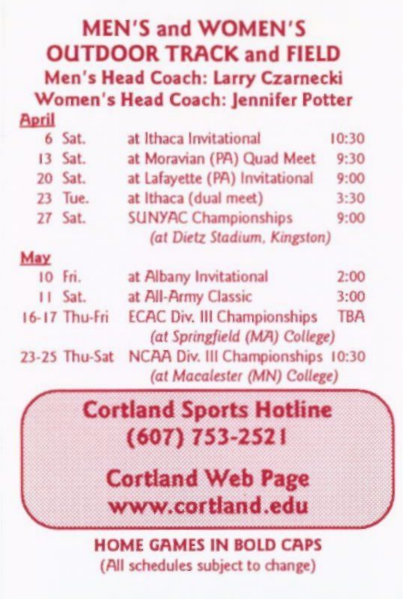#### MEN'S and WOMEN'S OUTDOOR TRACK and FIELD Men's Head Coach: Larry Czarnecki Women's Head Coach: Jennifer Potter

#### April

|     | 6 Sat.  | at Ithaca Invitational                                      | 10:30 |
|-----|---------|-------------------------------------------------------------|-------|
| 13  | Sat.    | at Moravian (PA) Quad Meet                                  | 9:30  |
|     | 20 Sat. | at Lafayette (PA) Invitational                              | 9:00  |
| 23  | Tue.    | at Ithaca (dual meet)                                       | 3:30  |
|     | 27 Sat. | <b>SUNYAC Championships</b><br>(at Dietz Stadium, Kingston) | 9:00  |
| May |         |                                                             |       |

| 10 Fri.       | at Albany Invitational             | 2:00       |
|---------------|------------------------------------|------------|
| $II$ Sat.     | at All-Army Classic                | 3:00       |
| 16-17 Thu-Fri | <b>ECAC Div. III Championships</b> | <b>TBA</b> |
|               | (at Springfield (MA) College)      |            |
| 23-25 Thu-Sat | NCAA Div. III Championships 10:30  |            |
|               | (at Macalester (MN) College)       |            |

### **Cortland Sports Hotline** (607) 753-2521

Cortland Web Page www.cortiand .edu

#### HOME GAMES IN BOLD CAPS (All schedules subject to change)